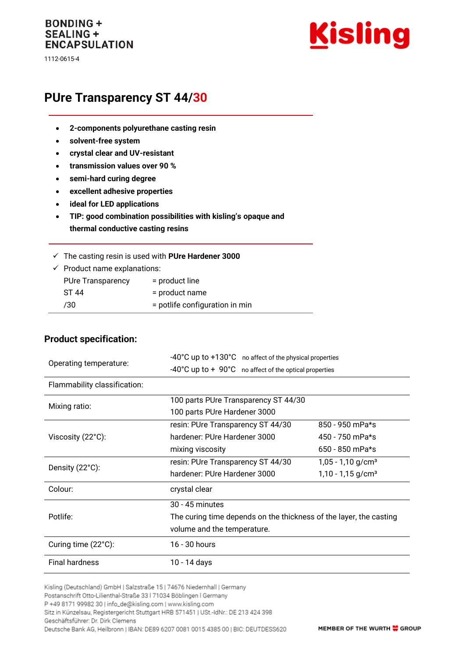# **BONDING + SEALING + ENCAPSULATION**

1112-0615-4



# **PUre Transparency ST 44/30**

- **2-components polyurethane casting resin**
- **solvent-free system**
- **crystal clear and UV-resistant**
- **transmission values over 90 %**
- **semi-hard curing degree**
- **excellent adhesive properties**
- **ideal for LED applications**
- **TIP: good combination possibilities with kisling's opaque and thermal conductive casting resins**

| $\checkmark$ The casting resin is used with PUre Hardener 3000 |  |  |  |
|----------------------------------------------------------------|--|--|--|
|                                                                |  |  |  |

 $\checkmark$  Product name explanations: PUre Transparency = product line

| ST 44 | $=$ product name                 |
|-------|----------------------------------|
| /30   | $=$ potlife configuration in min |

#### **Product specification:**

| Operating temperature:       | -40°C up to +130°C no affect of the physical properties                   |                                 |  |  |
|------------------------------|---------------------------------------------------------------------------|---------------------------------|--|--|
|                              | $-40^{\circ}$ C up to $+90^{\circ}$ C no affect of the optical properties |                                 |  |  |
| Flammability classification: |                                                                           |                                 |  |  |
| Mixing ratio:                | 100 parts PUre Transparency ST 44/30                                      |                                 |  |  |
|                              | 100 parts PUre Hardener 3000                                              |                                 |  |  |
|                              | resin: PUre Transparency ST 44/30                                         | 850 - 950 mPa*s                 |  |  |
| Viscosity (22°C):            | hardener: PUre Hardener 3000                                              | 450 - 750 mPa*s                 |  |  |
|                              | mixing viscosity                                                          | 650 - 850 mPa*s                 |  |  |
| Density (22°C):              | resin: PUre Transparency ST 44/30                                         | $1,05 - 1,10$ g/cm <sup>3</sup> |  |  |
|                              | hardener: PUre Hardener 3000                                              | $1,10 - 1,15$ g/cm <sup>3</sup> |  |  |
| Colour:                      | crystal clear                                                             |                                 |  |  |
|                              | 30 - 45 minutes                                                           |                                 |  |  |
| Potlife:                     | The curing time depends on the thickness of the layer, the casting        |                                 |  |  |
|                              | volume and the temperature.                                               |                                 |  |  |
| Curing time (22°C):          | 16 - 30 hours                                                             |                                 |  |  |
| <b>Final hardness</b>        | 10 - 14 days                                                              |                                 |  |  |

Kisling (Deutschland) GmbH | Salzstraße 15 | 74676 Niedernhall | Germany

P +49 8171 99982 30 | info\_de@kisling.com | www.kisling.com

Sitz in Künzelsau, Registergericht Stuttgart HRB 571451 | USt.-IdNr.: DE 213 424 398

Geschäftsführer: Dr. Dirk Clemens

Deutsche Bank AG, Heilbronn | IBAN: DE89 6207 0081 0015 4385 00 | BIC: DEUTDESS620

Postanschrift Otto-Lilienthal-Straße 33 | 71034 Böblingen | Germany